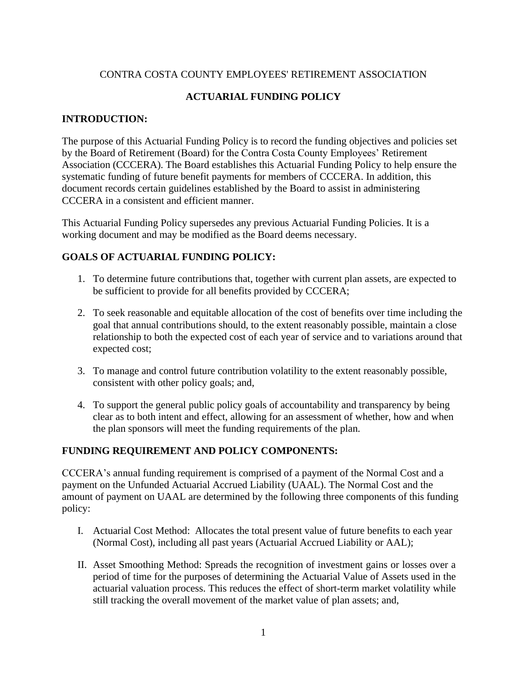## CONTRA COSTA COUNTY EMPLOYEES' RETIREMENT ASSOCIATION

# **ACTUARIAL FUNDING POLICY**

## **INTRODUCTION:**

The purpose of this Actuarial Funding Policy is to record the funding objectives and policies set by the Board of Retirement (Board) for the Contra Costa County Employees' Retirement Association (CCCERA). The Board establishes this Actuarial Funding Policy to help ensure the systematic funding of future benefit payments for members of CCCERA. In addition, this document records certain guidelines established by the Board to assist in administering CCCERA in a consistent and efficient manner.

This Actuarial Funding Policy supersedes any previous Actuarial Funding Policies. It is a working document and may be modified as the Board deems necessary.

## **GOALS OF ACTUARIAL FUNDING POLICY:**

- 1. To determine future contributions that, together with current plan assets, are expected to be sufficient to provide for all benefits provided by CCCERA;
- 2. To seek reasonable and equitable allocation of the cost of benefits over time including the goal that annual contributions should, to the extent reasonably possible, maintain a close relationship to both the expected cost of each year of service and to variations around that expected cost;
- 3. To manage and control future contribution volatility to the extent reasonably possible, consistent with other policy goals; and,
- 4. To support the general public policy goals of accountability and transparency by being clear as to both intent and effect, allowing for an assessment of whether, how and when the plan sponsors will meet the funding requirements of the plan.

## **FUNDING REQUIREMENT AND POLICY COMPONENTS:**

CCCERA's annual funding requirement is comprised of a payment of the Normal Cost and a payment on the Unfunded Actuarial Accrued Liability (UAAL). The Normal Cost and the amount of payment on UAAL are determined by the following three components of this funding policy:

- I. Actuarial Cost Method: Allocates the total present value of future benefits to each year (Normal Cost), including all past years (Actuarial Accrued Liability or AAL);
- II. Asset Smoothing Method: Spreads the recognition of investment gains or losses over a period of time for the purposes of determining the Actuarial Value of Assets used in the actuarial valuation process. This reduces the effect of short-term market volatility while still tracking the overall movement of the market value of plan assets; and,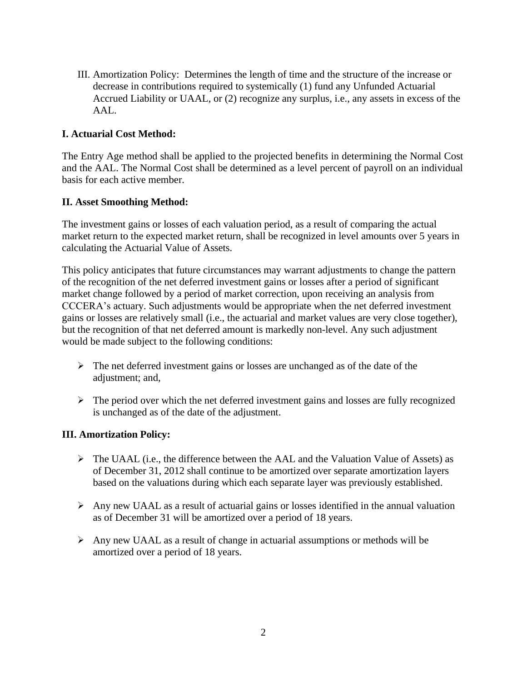III. Amortization Policy: Determines the length of time and the structure of the increase or decrease in contributions required to systemically (1) fund any Unfunded Actuarial Accrued Liability or UAAL, or (2) recognize any surplus, i.e., any assets in excess of the AAL.

# **I. Actuarial Cost Method:**

The Entry Age method shall be applied to the projected benefits in determining the Normal Cost and the AAL. The Normal Cost shall be determined as a level percent of payroll on an individual basis for each active member.

## **II. Asset Smoothing Method:**

The investment gains or losses of each valuation period, as a result of comparing the actual market return to the expected market return, shall be recognized in level amounts over 5 years in calculating the Actuarial Value of Assets.

This policy anticipates that future circumstances may warrant adjustments to change the pattern of the recognition of the net deferred investment gains or losses after a period of significant market change followed by a period of market correction, upon receiving an analysis from CCCERA's actuary. Such adjustments would be appropriate when the net deferred investment gains or losses are relatively small (i.e., the actuarial and market values are very close together), but the recognition of that net deferred amount is markedly non-level. Any such adjustment would be made subject to the following conditions:

- $\triangleright$  The net deferred investment gains or losses are unchanged as of the date of the adjustment; and,
- ➢ The period over which the net deferred investment gains and losses are fully recognized is unchanged as of the date of the adjustment.

# **III. Amortization Policy:**

- $\triangleright$  The UAAL (i.e., the difference between the AAL and the Valuation Value of Assets) as of December 31, 2012 shall continue to be amortized over separate amortization layers based on the valuations during which each separate layer was previously established.
- ➢ Any new UAAL as a result of actuarial gains or losses identified in the annual valuation as of December 31 will be amortized over a period of 18 years.
- $\triangleright$  Any new UAAL as a result of change in actuarial assumptions or methods will be amortized over a period of 18 years.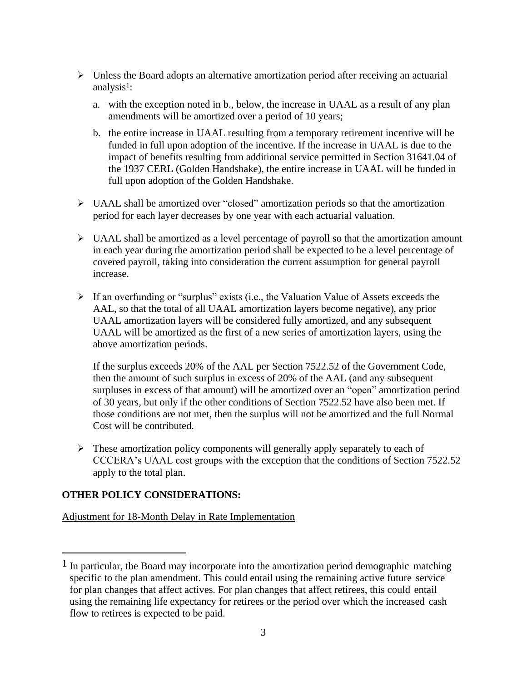- ➢ Unless the Board adopts an alternative amortization period after receiving an actuarial analysis<sup>1</sup>:
	- a. with the exception noted in b., below, the increase in UAAL as a result of any plan amendments will be amortized over a period of 10 years;
	- b. the entire increase in UAAL resulting from a temporary retirement incentive will be funded in full upon adoption of the incentive. If the increase in UAAL is due to the impact of benefits resulting from additional service permitted in Section 31641.04 of the 1937 CERL (Golden Handshake), the entire increase in UAAL will be funded in full upon adoption of the Golden Handshake.
- ➢ UAAL shall be amortized over "closed" amortization periods so that the amortization period for each layer decreases by one year with each actuarial valuation.
- $\triangleright$  UAAL shall be amortized as a level percentage of payroll so that the amortization amount in each year during the amortization period shall be expected to be a level percentage of covered payroll, taking into consideration the current assumption for general payroll increase.
- ➢ If an overfunding or "surplus" exists (i.e., the Valuation Value of Assets exceeds the AAL, so that the total of all UAAL amortization layers become negative), any prior UAAL amortization layers will be considered fully amortized, and any subsequent UAAL will be amortized as the first of a new series of amortization layers, using the above amortization periods.

If the surplus exceeds 20% of the AAL per Section 7522.52 of the Government Code, then the amount of such surplus in excess of 20% of the AAL (and any subsequent surpluses in excess of that amount) will be amortized over an "open" amortization period of 30 years, but only if the other conditions of Section 7522.52 have also been met. If those conditions are not met, then the surplus will not be amortized and the full Normal Cost will be contributed.

 $\triangleright$  These amortization policy components will generally apply separately to each of CCCERA's UAAL cost groups with the exception that the conditions of Section 7522.52 apply to the total plan.

# **OTHER POLICY CONSIDERATIONS:**

Adjustment for 18-Month Delay in Rate Implementation

 $<sup>1</sup>$  In particular, the Board may incorporate into the amortization period demographic matching</sup> specific to the plan amendment. This could entail using the remaining active future service for plan changes that affect actives. For plan changes that affect retirees, this could entail using the remaining life expectancy for retirees or the period over which the increased cash flow to retirees is expected to be paid.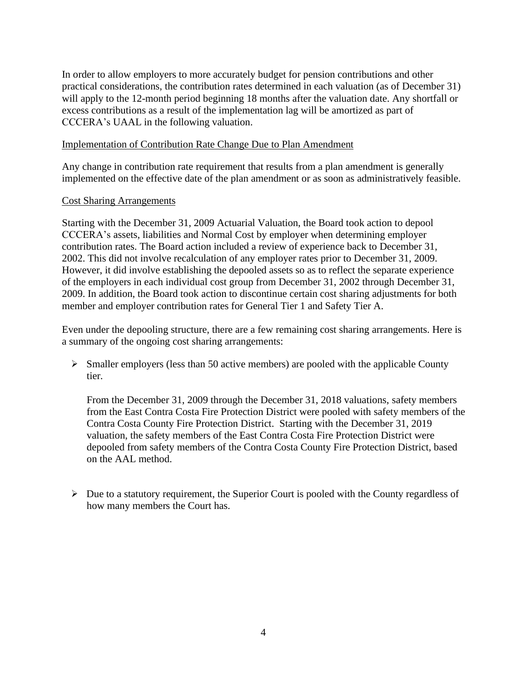In order to allow employers to more accurately budget for pension contributions and other practical considerations, the contribution rates determined in each valuation (as of December 31) will apply to the 12-month period beginning 18 months after the valuation date. Any shortfall or excess contributions as a result of the implementation lag will be amortized as part of CCCERA's UAAL in the following valuation.

### Implementation of Contribution Rate Change Due to Plan Amendment

Any change in contribution rate requirement that results from a plan amendment is generally implemented on the effective date of the plan amendment or as soon as administratively feasible.

#### Cost Sharing Arrangements

Starting with the December 31, 2009 Actuarial Valuation, the Board took action to depool CCCERA's assets, liabilities and Normal Cost by employer when determining employer contribution rates. The Board action included a review of experience back to December 31, 2002. This did not involve recalculation of any employer rates prior to December 31, 2009. However, it did involve establishing the depooled assets so as to reflect the separate experience of the employers in each individual cost group from December 31, 2002 through December 31, 2009. In addition, the Board took action to discontinue certain cost sharing adjustments for both member and employer contribution rates for General Tier 1 and Safety Tier A.

Even under the depooling structure, there are a few remaining cost sharing arrangements. Here is a summary of the ongoing cost sharing arrangements:

➢ Smaller employers (less than 50 active members) are pooled with the applicable County tier.

From the December 31, 2009 through the December 31, 2018 valuations, safety members from the East Contra Costa Fire Protection District were pooled with safety members of the Contra Costa County Fire Protection District. Starting with the December 31, 2019 valuation, the safety members of the East Contra Costa Fire Protection District were depooled from safety members of the Contra Costa County Fire Protection District, based on the AAL method.

 $\triangleright$  Due to a statutory requirement, the Superior Court is pooled with the County regardless of how many members the Court has.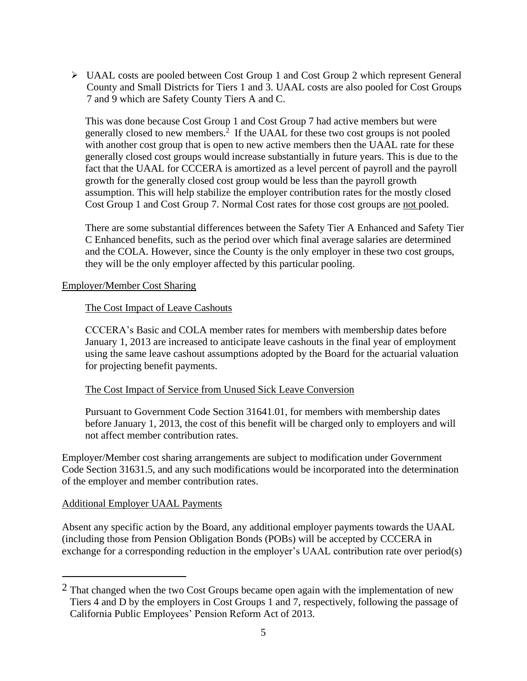➢ UAAL costs are pooled between Cost Group 1 and Cost Group 2 which represent General County and Small Districts for Tiers 1 and 3. UAAL costs are also pooled for Cost Groups 7 and 9 which are Safety County Tiers A and C.

This was done because Cost Group 1 and Cost Group 7 had active members but were generally closed to new members. $\frac{1}{2}$  If the UAAL for these two cost groups is not pooled with another cost group that is open to new active members then the UAAL rate for these generally closed cost groups would increase substantially in future years. This is due to the fact that the UAAL for CCCERA is amortized as a level percent of payroll and the payroll growth for the generally closed cost group would be less than the payroll growth assumption. This will help stabilize the employer contribution rates for the mostly closed Cost Group 1 and Cost Group 7. Normal Cost rates for those cost groups are not pooled.

There are some substantial differences between the Safety Tier A Enhanced and Safety Tier C Enhanced benefits, such as the period over which final average salaries are determined and the COLA. However, since the County is the only employer in these two cost groups, they will be the only employer affected by this particular pooling.

## Employer/Member Cost Sharing

#### The Cost Impact of Leave Cashouts

CCCERA's Basic and COLA member rates for members with membership dates before January 1, 2013 are increased to anticipate leave cashouts in the final year of employment using the same leave cashout assumptions adopted by the Board for the actuarial valuation for projecting benefit payments.

## The Cost Impact of Service from Unused Sick Leave Conversion

Pursuant to Government Code Section 31641.01, for members with membership dates before January 1, 2013, the cost of this benefit will be charged only to employers and will not affect member contribution rates.

Employer/Member cost sharing arrangements are subject to modification under Government Code Section 31631.5, and any such modifications would be incorporated into the determination of the employer and member contribution rates.

#### Additional Employer UAAL Payments

Absent any specific action by the Board, any additional employer payments towards the UAAL (including those from Pension Obligation Bonds (POBs) will be accepted by CCCERA in exchange for a corresponding reduction in the employer's UAAL contribution rate over period(s)

<sup>2</sup> That changed when the two Cost Groups became open again with the implementation of new Tiers 4 and D by the employers in Cost Groups 1 and 7, respectively, following the passage of California Public Employees' Pension Reform Act of 2013.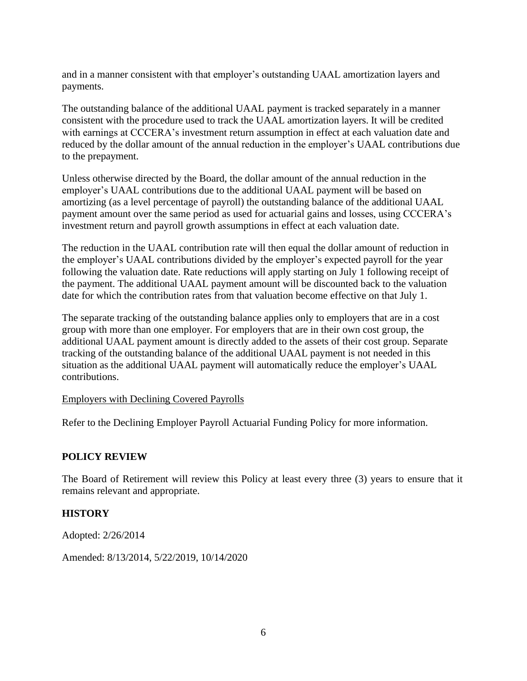and in a manner consistent with that employer's outstanding UAAL amortization layers and payments.

The outstanding balance of the additional UAAL payment is tracked separately in a manner consistent with the procedure used to track the UAAL amortization layers. It will be credited with earnings at CCCERA's investment return assumption in effect at each valuation date and reduced by the dollar amount of the annual reduction in the employer's UAAL contributions due to the prepayment.

Unless otherwise directed by the Board, the dollar amount of the annual reduction in the employer's UAAL contributions due to the additional UAAL payment will be based on amortizing (as a level percentage of payroll) the outstanding balance of the additional UAAL payment amount over the same period as used for actuarial gains and losses, using CCCERA's investment return and payroll growth assumptions in effect at each valuation date.

The reduction in the UAAL contribution rate will then equal the dollar amount of reduction in the employer's UAAL contributions divided by the employer's expected payroll for the year following the valuation date. Rate reductions will apply starting on July 1 following receipt of the payment. The additional UAAL payment amount will be discounted back to the valuation date for which the contribution rates from that valuation become effective on that July 1.

The separate tracking of the outstanding balance applies only to employers that are in a cost group with more than one employer. For employers that are in their own cost group, the additional UAAL payment amount is directly added to the assets of their cost group. Separate tracking of the outstanding balance of the additional UAAL payment is not needed in this situation as the additional UAAL payment will automatically reduce the employer's UAAL contributions.

## Employers with Declining Covered Payrolls

Refer to the Declining Employer Payroll Actuarial Funding Policy for more information.

## **POLICY REVIEW**

The Board of Retirement will review this Policy at least every three (3) years to ensure that it remains relevant and appropriate.

## **HISTORY**

Adopted: 2/26/2014

Amended: 8/13/2014, 5/22/2019, 10/14/2020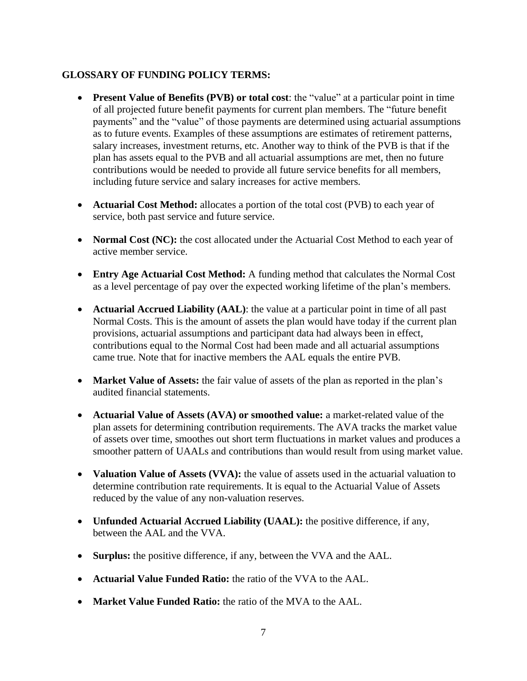## **GLOSSARY OF FUNDING POLICY TERMS:**

- **Present Value of Benefits (PVB) or total cost**: the "value" at a particular point in time of all projected future benefit payments for current plan members. The "future benefit payments" and the "value" of those payments are determined using actuarial assumptions as to future events. Examples of these assumptions are estimates of retirement patterns, salary increases, investment returns, etc. Another way to think of the PVB is that if the plan has assets equal to the PVB and all actuarial assumptions are met, then no future contributions would be needed to provide all future service benefits for all members, including future service and salary increases for active members.
- **Actuarial Cost Method:** allocates a portion of the total cost (PVB) to each year of service, both past service and future service.
- **Normal Cost (NC):** the cost allocated under the Actuarial Cost Method to each year of active member service.
- **Entry Age Actuarial Cost Method:** A funding method that calculates the Normal Cost as a level percentage of pay over the expected working lifetime of the plan's members.
- **Actuarial Accrued Liability (AAL)**: the value at a particular point in time of all past Normal Costs. This is the amount of assets the plan would have today if the current plan provisions, actuarial assumptions and participant data had always been in effect, contributions equal to the Normal Cost had been made and all actuarial assumptions came true. Note that for inactive members the AAL equals the entire PVB.
- **Market Value of Assets:** the fair value of assets of the plan as reported in the plan's audited financial statements.
- **Actuarial Value of Assets (AVA) or smoothed value:** a market-related value of the plan assets for determining contribution requirements. The AVA tracks the market value of assets over time, smoothes out short term fluctuations in market values and produces a smoother pattern of UAALs and contributions than would result from using market value.
- **Valuation Value of Assets (VVA):** the value of assets used in the actuarial valuation to determine contribution rate requirements. It is equal to the Actuarial Value of Assets reduced by the value of any non-valuation reserves.
- **Unfunded Actuarial Accrued Liability (UAAL):** the positive difference, if any, between the AAL and the VVA.
- **Surplus:** the positive difference, if any, between the VVA and the AAL.
- **Actuarial Value Funded Ratio:** the ratio of the VVA to the AAL.
- **Market Value Funded Ratio:** the ratio of the MVA to the AAL.